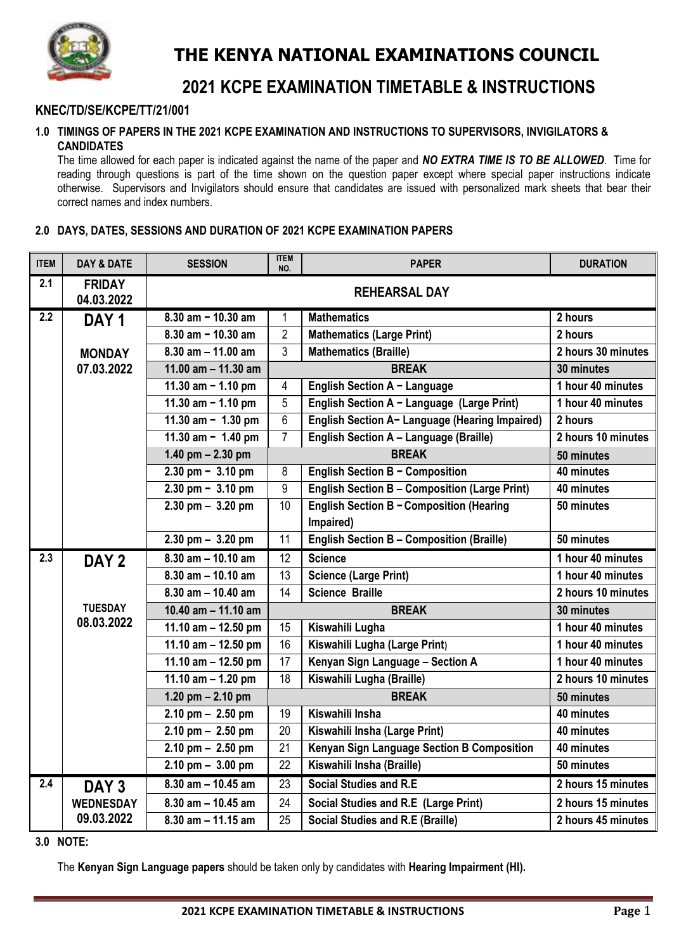

# **THE KENYA NATIONAL EXAMINATIONS COUNCIL**

## **2021 KCPE EXAMINATION TIMETABLE & INSTRUCTIONS**

## **KNEC/TD/SE/KCPE/TT/21/001**

#### **1.0 TIMINGS OF PAPERS IN THE 2021 KCPE EXAMINATION AND INSTRUCTIONS TO SUPERVISORS, INVIGILATORS & CANDIDATES**

The time allowed for each paper is indicated against the name of the paper and *NO EXTRA TIME IS TO BE ALLOWED*. Time for reading through questions is part of the time shown on the question paper except where special paper instructions indicate otherwise. Supervisors and Invigilators should ensure that candidates are issued with personalized mark sheets that bear their correct names and index numbers.

## **2.0 DAYS, DATES, SESSIONS AND DURATION OF 2021 KCPE EXAMINATION PAPERS**

| <b>ITEM</b>      | <b>DAY &amp; DATE</b>       | <b>SESSION</b>                      | <b>ITEM</b><br>NO. | <b>PAPER</b>                                         | <b>DURATION</b>    |
|------------------|-----------------------------|-------------------------------------|--------------------|------------------------------------------------------|--------------------|
| 2.1              | <b>FRIDAY</b><br>04.03.2022 | <b>REHEARSAL DAY</b>                |                    |                                                      |                    |
| $\overline{2.2}$ | DAY <sub>1</sub>            | $8.30$ am $- 10.30$ am              | 1                  | <b>Mathematics</b>                                   | 2 hours            |
|                  |                             | $8.30$ am $- 10.30$ am              | $\overline{2}$     | <b>Mathematics (Large Print)</b>                     | 2 hours            |
|                  | <b>MONDAY</b>               | $8.30$ am $- 11.00$ am              | 3                  | <b>Mathematics (Braille)</b>                         | 2 hours 30 minutes |
|                  | 07.03.2022                  | 11.00 $am - 11.30 am$               |                    | <b>BREAK</b>                                         | 30 minutes         |
|                  |                             | 11.30 am $- 1.10$ pm                | 4                  | English Section A - Language                         | 1 hour 40 minutes  |
|                  |                             | 11.30 am $- 1.10$ pm                | 5                  | English Section A - Language (Large Print)           | 1 hour 40 minutes  |
|                  |                             | 11.30 am $- 1.30$ pm                | $\overline{6}$     | English Section A- Language (Hearing Impaired)       | $2$ hours          |
|                  |                             | 11.30 am $-$ 1.40 pm                | $\overline{7}$     | English Section A - Language (Braille)               | 2 hours 10 minutes |
|                  |                             | 1.40 pm $- 2.30$ pm                 |                    | <b>BREAK</b>                                         | 50 minutes         |
|                  |                             | $2.30 \text{ pm} - 3.10 \text{ pm}$ | 8                  | English Section B - Composition                      | 40 minutes         |
|                  |                             | $2.30 \text{ pm} - 3.10 \text{ pm}$ | 9                  | <b>English Section B - Composition (Large Print)</b> | 40 minutes         |
|                  |                             | $2.30 \text{ pm} - 3.20 \text{ pm}$ | 10                 | English Section B - Composition (Hearing             | 50 minutes         |
|                  |                             |                                     |                    | Impaired)                                            |                    |
|                  |                             | $2.30$ pm $-3.20$ pm                | $\overline{11}$    | <b>English Section B - Composition (Braille)</b>     | 50 minutes         |
| 2.3              | DAY <sub>2</sub>            | $8.30$ am $- 10.10$ am              | 12                 | <b>Science</b>                                       | 1 hour 40 minutes  |
|                  |                             | $8.30$ am $- 10.10$ am              | 13                 | <b>Science (Large Print)</b>                         | 1 hour 40 minutes  |
|                  |                             | $8.30$ am $- 10.40$ am              | 14                 | <b>Science Braille</b>                               | 2 hours 10 minutes |
|                  | <b>TUESDAY</b>              | 10.40 $am - 11.10 am$               |                    | <b>BREAK</b>                                         | 30 minutes         |
|                  | 08.03.2022                  | 11.10 am $-$ 12.50 pm               | 15                 | Kiswahili Lugha                                      | 1 hour 40 minutes  |
|                  |                             | 11.10 am $-$ 12.50 pm               | 16                 | Kiswahili Lugha (Large Print)                        | 1 hour 40 minutes  |
|                  |                             | 11.10 am $-$ 12.50 pm               | 17                 | Kenyan Sign Language - Section A                     | 1 hour 40 minutes  |
|                  |                             | $11.10$ am $- 1.20$ pm              | 18                 | Kiswahili Lugha (Braille)                            | 2 hours 10 minutes |
|                  |                             | 1.20 pm $- 2.10$ pm                 |                    | <b>BREAK</b>                                         | 50 minutes         |
|                  |                             | $2.10$ pm $- 2.50$ pm               | 19                 | Kiswahili Insha                                      | 40 minutes         |
|                  |                             | $2.10$ pm $- 2.50$ pm               | 20                 | Kiswahili Insha (Large Print)                        | 40 minutes         |
|                  |                             | $2.10$ pm $- 2.50$ pm               | $\overline{21}$    | Kenyan Sign Language Section B Composition           | 40 minutes         |
|                  |                             | $2.10$ pm $- 3.00$ pm               | 22                 | Kiswahili Insha (Braille)                            | 50 minutes         |
| 2.4              | DAY <sub>3</sub>            | $8.30$ am $- 10.45$ am              | 23                 | <b>Social Studies and R.E</b>                        | 2 hours 15 minutes |
|                  | <b>WEDNESDAY</b>            | $8.30$ am $- 10.45$ am              | 24                 | Social Studies and R.E (Large Print)                 | 2 hours 15 minutes |
|                  | 09.03.2022                  | $8.30$ am $- 11.15$ am              | 25                 | <b>Social Studies and R.E (Braille)</b>              | 2 hours 45 minutes |

### **3.0 NOTE:**

The **Kenyan Sign Language papers** should be taken only by candidates with **Hearing Impairment (HI).**